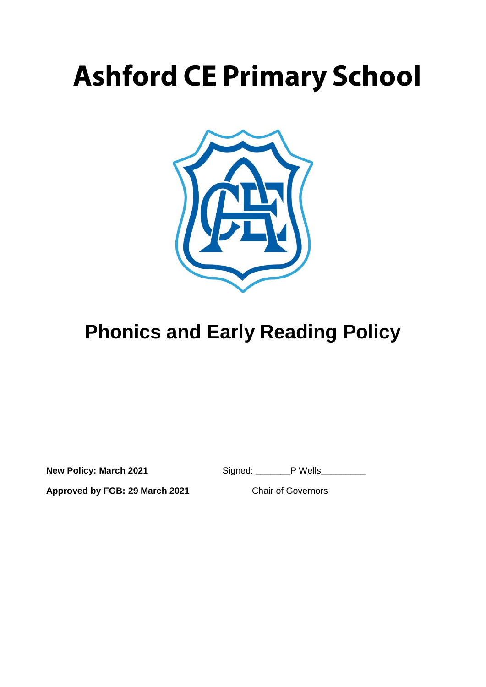# **Ashford CE Primary School**



## **Phonics and Early Reading Policy**

**New Policy: March 2021** Signed: PWells

**Approved by FGB: 29 March 2021** Chair of Governors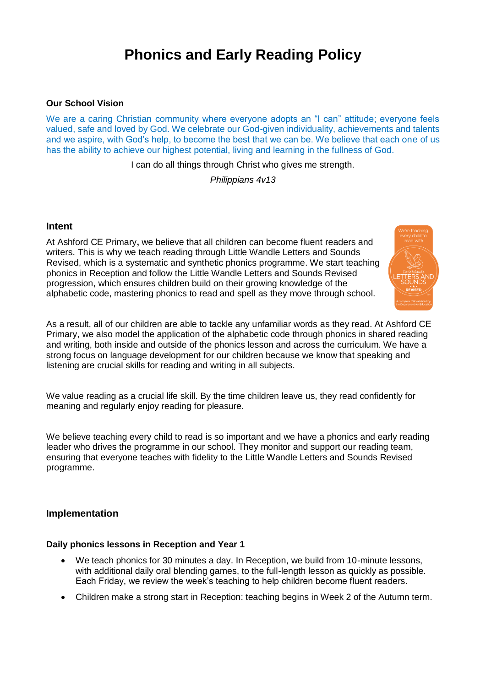### **Phonics and Early Reading Policy**

#### **Our School Vision**

We are a caring Christian community where everyone adopts an "I can" attitude; everyone feels valued, safe and loved by God. We celebrate our God-given individuality, achievements and talents and we aspire, with God's help, to become the best that we can be. We believe that each one of us has the ability to achieve our highest potential, living and learning in the fullness of God.

I can do all things through Christ who gives me strength.

*Philippians 4v13*

#### **Intent**

At Ashford CE Primary**,** we believe that all children can become fluent readers and writers. This is why we teach reading through Little Wandle Letters and Sounds Revised, which is a systematic and synthetic phonics programme. We start teaching phonics in Reception and follow the [Little Wandle Letters and Sounds Revised](https://wandlelearningtrust.sharepoint.com/sites/WTSA2/Shared%20Documents/Forms/AllItems.aspx?csf=1&web=1&e=dA5Kg8&cid=c07c4b6e%2D7eff%2D4834%2Db0a2%2De34e77f1195a&FolderCTID=0x0120002B68E4606EDEEB42917E483D1520364F&id=%2Fsites%2FWTSA2%2FShared%20Documents%2FLetters%20and%20Sounds%2FLetters%20and%20Sounds%20Revised%2FSigned%20off%20files%2FProgramme%20Overview%5FReception%20and%20Year%201%2Epdf&parent=%2Fsites%2FWTSA2%2FShared%20Documents%2FLetters%20and%20Sounds%2FLetters%20and%20Sounds%20Revised%2FSigned%20off%20files)  [progression,](https://wandlelearningtrust.sharepoint.com/sites/WTSA2/Shared%20Documents/Forms/AllItems.aspx?csf=1&web=1&e=dA5Kg8&cid=c07c4b6e%2D7eff%2D4834%2Db0a2%2De34e77f1195a&FolderCTID=0x0120002B68E4606EDEEB42917E483D1520364F&id=%2Fsites%2FWTSA2%2FShared%20Documents%2FLetters%20and%20Sounds%2FLetters%20and%20Sounds%20Revised%2FSigned%20off%20files%2FProgramme%20Overview%5FReception%20and%20Year%201%2Epdf&parent=%2Fsites%2FWTSA2%2FShared%20Documents%2FLetters%20and%20Sounds%2FLetters%20and%20Sounds%20Revised%2FSigned%20off%20files) which ensures children build on their growing knowledge of the alphabetic code, mastering phonics to read and spell as they move through school.

As a result, all of our children are able to tackle any unfamiliar words as they read. At Ashford CE Primary, we also model the application of the alphabetic code through phonics in shared reading and writing, both inside and outside of the phonics lesson and across the curriculum. We have a strong focus on language development for our children because we know that speaking and listening are crucial skills for reading and writing in all subjects.

We value reading as a crucial life skill. By the time children leave us, they read confidently for meaning and regularly enjoy reading for pleasure.

We believe teaching every child to read is so important and we have a phonics and early reading leader who drives the programme in our school. They monitor and support our reading team, ensuring that everyone teaches with fidelity to the Little Wandle Letters and Sounds Revised programme.

#### **Implementation**

#### **Daily phonics lessons in Reception and Year 1**

- We teach phonics for 30 minutes a day. In Reception, we build from 10-minute lessons, with additional daily oral blending games, to the full-length lesson as quickly as possible. Each Friday, we review the week's teaching to help children become fluent readers.
- Children make a strong start in Reception: teaching begins in Week 2 of the Autumn term.

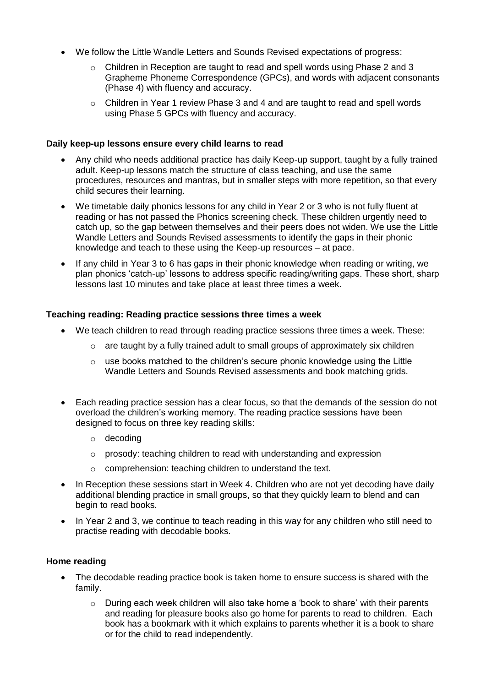- We follow the [Little Wandle Letters and Sounds Revised expectations of progress:](https://wandlelearningtrust.sharepoint.com/sites/WTSA2/Shared%20Documents/Forms/AllItems.aspx?csf=1&web=1&e=dA5Kg8&cid=c07c4b6e%2D7eff%2D4834%2Db0a2%2De34e77f1195a&FolderCTID=0x0120002B68E4606EDEEB42917E483D1520364F&id=%2Fsites%2FWTSA2%2FShared%20Documents%2FLetters%20and%20Sounds%2FLetters%20and%20Sounds%20Revised%2FSigned%20off%20files%2FProgramme%20Overview%5FReception%20and%20Year%201%2Epdf&parent=%2Fsites%2FWTSA2%2FShared%20Documents%2FLetters%20and%20Sounds%2FLetters%20and%20Sounds%20Revised%2FSigned%20off%20files)
	- o Children in Reception are taught to read and spell words using Phase 2 and 3 Grapheme Phoneme Correspondence (GPCs), and words with adjacent consonants (Phase 4) with fluency and accuracy.
	- $\circ$  Children in Year 1 review Phase 3 and 4 and are taught to read and spell words using Phase 5 GPCs with fluency and accuracy.

#### **Daily keep-up lessons ensure every child learns to read**

- Any child who needs additional practice has daily Keep-up support, taught by a fully trained adult. Keep-up lessons match the structure of class teaching, and use the same procedures, resources and mantras, but in smaller steps with more repetition, so that every child secures their learning.
- We timetable daily phonics lessons for any child in Year 2 or 3 who is not fully fluent at reading or has not passed the Phonics screening check. These children urgently need to catch up, so the gap between themselves and their peers does not widen. We use the Little Wandle Letters and Sounds Revised assessments to identify the gaps in their phonic knowledge and teach to these using the Keep-up resources – at pace.
- If any child in Year 3 to 6 has gaps in their phonic knowledge when reading or writing, we plan phonics 'catch-up' lessons to address specific reading/writing gaps. These short, sharp lessons last 10 minutes and take place at least three times a week.

#### **Teaching reading: Reading practice sessions three times a week**

- We teach children to read through reading practice sessions three times a week. These:
	- $\circ$  are taught by a fully trained adult to small groups of approximately six children
	- o use books matched to the children's secure phonic knowledge using the Little Wandle Letters and Sounds Revised assessments and book matching grids.
- Each reading practice session has a clear focus, so that the demands of the session do not overload the children's working memory. The reading practice sessions have been designed to focus on three key reading skills:
	- o decoding
	- o prosody: teaching children to read with understanding and expression
	- o comprehension: teaching children to understand the text.
- In Reception these sessions start in Week 4. Children who are not yet decoding have daily additional blending practice in small groups, so that they quickly learn to blend and can begin to read books.
- In Year 2 and 3, we continue to teach reading in this way for any children who still need to practise reading with decodable books.

#### **Home reading**

- The decodable reading practice book is taken home to ensure success is shared with the family.
	- $\circ$  During each week children will also take home a 'book to share' with their parents and reading for pleasure books also go home for parents to read to children. Each book has a bookmark with it which explains to parents whether it is a book to share or for the child to read independently.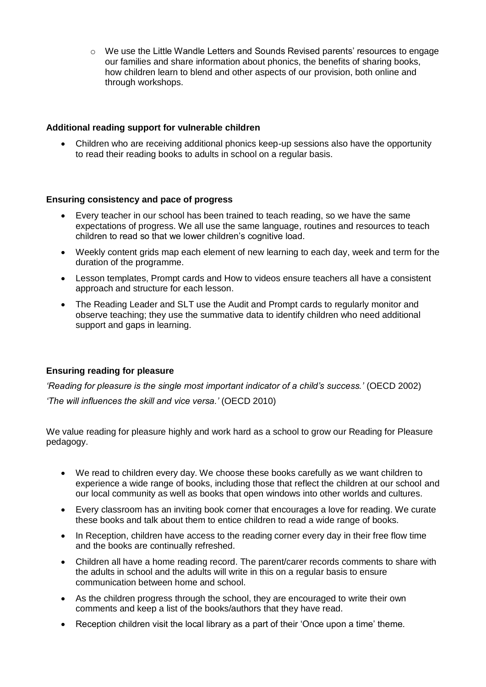$\circ$  We use the [Little Wandle Letters and Sounds Revised parents' resources](https://www.littlewandlelettersandsounds.org.uk/resources/for-parents/) to engage our families and share information about phonics, the benefits of sharing books, how children learn to blend and other aspects of our provision, both online and through workshops.

#### **Additional reading support for vulnerable children**

 Children who are receiving additional phonics keep-up sessions also have the opportunity to read their reading books to adults in school on a regular basis.

#### **Ensuring consistency and pace of progress**

- Every teacher in our school has been trained to teach reading, so we have the same expectations of progress. We all use the same language, routines and resources to teach children to read so that we lower children's cognitive load.
- Weekly content grids map each element of new learning to each day, week and term for the duration of the programme.
- Lesson templates, Prompt cards and How to videos ensure teachers all have a consistent approach and structure for each lesson.
- The Reading Leader and SLT use the Audit and Prompt cards to regularly monitor and observe teaching; they use the summative data to identify children who need additional support and gaps in learning.

#### **Ensuring reading for pleasure**

*'Reading for pleasure is the single most important indicator of a child's success.'* (OECD 2002) *'The will influences the skill and vice versa.'* (OECD 2010)

We value reading for pleasure highly and work hard as a school to grow our Reading for Pleasure pedagogy.

- We read to children every day. We choose these books carefully as we want children to experience a wide range of books, including those that reflect the children at our school and our local community as well as books that open windows into other worlds and cultures.
- Every classroom has an inviting book corner that encourages a love for reading. We curate these books and talk about them to entice children to read a wide range of books.
- In Reception, children have access to the reading corner every day in their free flow time and the books are continually refreshed.
- Children all have a home reading record. The parent/carer records comments to share with the adults in school and the adults will write in this on a regular basis to ensure communication between home and school.
- As the children progress through the school, they are encouraged to write their own comments and keep a list of the books/authors that they have read.
- Reception children visit the local library as a part of their 'Once upon a time' theme.